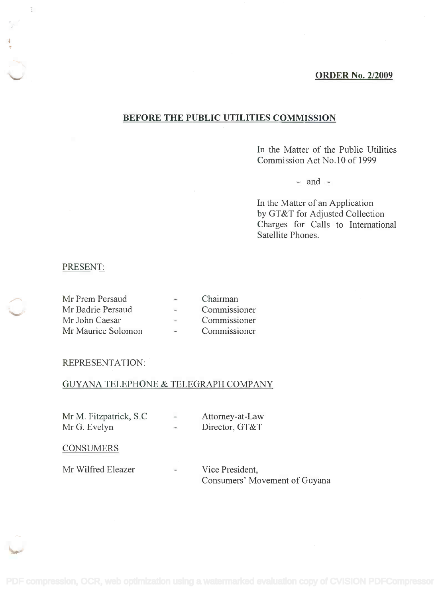#### ORDER No. 2/2009

## BEFORE THE PUBLIC UTILITIES COMMISSION

In the Matter of the Public Utilities **In** the Matter of the Public Utilities Commission Act No.10 of 1999 Commission Act No.10 of 1999

 $-$  and  $-$ 

In the Matter of an Application **In** the Matter of an Application by GT&T for Adjusted Collection by GT&T for Adjusted Collection Charges for Calls to International Charges for Calls to International Satellite Phones. Satellite Phones.

### PRESENT:

 $\frac{1}{2}$ 

| Mr Prem Persaud    |                            | Chairman     |
|--------------------|----------------------------|--------------|
| Mr Badrie Persaud  | $\mathcal{L}_{\mathbf{r}}$ | Commissioner |
| Mr John Caesar     | $\sim$                     | Commissioner |
| Mr Maurice Solomon | $\sim$                     | Commissioner |

#### REPRESENTATION:

## GUYANA TELEPHONE & TELEGRAPH COMPANY

| Mr M. Fitzpatrick, S.C. | ÷      | Attorney-at-Law |
|-------------------------|--------|-----------------|
| Mr G. Evelyn            | Lines. | Director, GT&T  |

#### **CONSUMERS**

Mr Wilfred Eleazer -Consumers' Movement of Guyana Consumers' Movement of Guyana Vice President,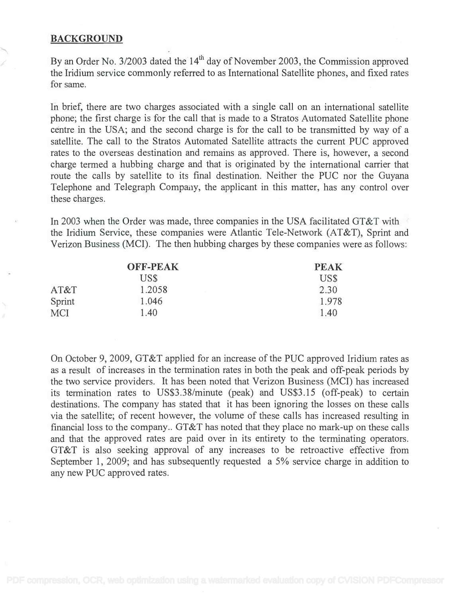## BACKGROUND

By an Order No. 3/2003 dated the  $14<sup>th</sup>$  day of November 2003, the Commission approved the Iridium service commonly referred to as International Satellite phones, and fixed rates the Iridium service commonly referred to as International Satellite phones, and fixed rates for same. for same.

In brief, there are two charges associated with a single call on an international satellite In brief, there are two charges associated with a single call on an international satellite phone; the first charge is for the call that is made to a Stratos Automated Satellite phone phone; the first charge is for the call that is made to a Stratos Automated Satellite phone centre in the USA; and the second charge is for the call to be transmitted by way of a centre in the USA; and the second charge is for the call to be transmitted by way of a satellite. The call to the Stratos Automated Satellite attracts the current PUC approved satellite. The call to the Stratos Automated Satellite attracts the current PUC approved rates to the overseas destination and remains as approved. There is, however, a second charge termed a hubbing charge and that is originated by the international carrier that charge termed a hubbing charge and that is originated by the international carrier that route the calls by satellite to its final destination. Neither the PUC nor the Guyana Telephone and Telegraph Company, the applicant in this matter, has any control over these charges. these charges.

In 2003 when the Order was made, three companies in the USA facilitated GT&T with the Iridium Service, these companies were Atlantic Tele-Network (AT&T), Sprint and the Iridium Service, these companies were Atlantic Tele-Network (AT&T), Sprint and Verizon Business (MCI). The then hubbing charges by these companies were as follows: Verizon Business (MCI). The then hubbing charges by these companies were as follows:

|            | <b>OFF-PEAK</b> | <b>PEAK</b> |
|------------|-----------------|-------------|
|            | US\$            | US\$        |
| AT&T       | 1.2058          | 2.30        |
| Sprint     | 1.046           | 1.978       |
| <b>MCI</b> | 1.40            | 1.40        |

On October 9, 2009, GT&T applied for an increase of the PUC approved Iridium rates as On October 9,2009, GT&T applied for an increase of the PUC approved Iridium rates as as a result of increases in the termination rates in both the peak and off-peak periods by as a result of increases in the termination rates in both the peak and off-peak periods by the two service providers. It has been noted that Verizon Business (MCI) has increased the two service providers. It has been noted that Verizon Business (MCI) has increased its termination rates to US\$3.38/minute (peak) and US\$3.15 (off-peak) to certain its termination rates to US\$3.3 8/minute (peak) and US\$3.15 (off-peak) to certain destinations. The company has stated that it has been ignoring the losses on these calls destinations. The company has stated that it has been ignoring the losses on these calls via the satellite; of recent however, the volume of these calls has increased resulting in via the satellite; of recent however, the volume of these calls has increased resulting in financial loss to the company.. GT&T has noted that they place no mark-up on these calls financial loss to the company .. GT&T has noted that they place no mark-up on these calls and that the approved rates are paid over in its entirety to the terminating operators. and that the approved rates are paid over in its entirety to the terminating operators. GT&T is also seeking approval of any increases to be retroactive effective from GT&T is also seeking approval of any increases to be retroactive effective from September 1, 2009; and has subsequently requested a 5% service charge in addition to September 1, 2009; and has subsequently requested a 5% service charge in addition to any new PUC approved rates. any new PUC approved rates.